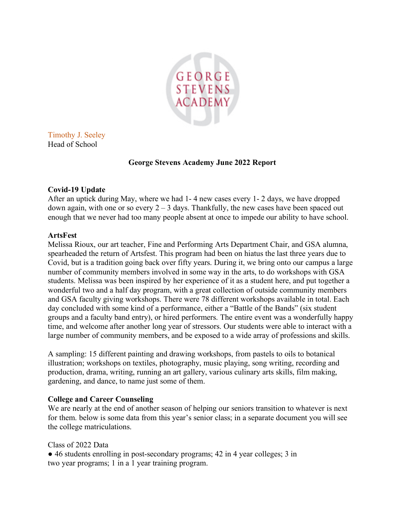

Timothy J. Seeley Head of School

### **George Stevens Academy June 2022 Report**

### **Covid-19 Update**

After an uptick during May, where we had 1- 4 new cases every 1- 2 days, we have dropped down again, with one or so every  $2 - 3$  days. Thankfully, the new cases have been spaced out enough that we never had too many people absent at once to impede our ability to have school.

### **ArtsFest**

Melissa Rioux, our art teacher, Fine and Performing Arts Department Chair, and GSA alumna, spearheaded the return of Artsfest. This program had been on hiatus the last three years due to Covid, but is a tradition going back over fifty years. During it, we bring onto our campus a large number of community members involved in some way in the arts, to do workshops with GSA students. Melissa was been inspired by her experience of it as a student here, and put together a wonderful two and a half day program, with a great collection of outside community members and GSA faculty giving workshops. There were 78 different workshops available in total. Each day concluded with some kind of a performance, either a "Battle of the Bands" (six student groups and a faculty band entry), or hired performers. The entire event was a wonderfully happy time, and welcome after another long year of stressors. Our students were able to interact with a large number of community members, and be exposed to a wide array of professions and skills.

A sampling: 15 different painting and drawing workshops, from pastels to oils to botanical illustration; workshops on textiles, photography, music playing, song writing, recording and production, drama, writing, running an art gallery, various culinary arts skills, film making, gardening, and dance, to name just some of them.

## **College and Career Counseling**

We are nearly at the end of another season of helping our seniors transition to whatever is next for them. below is some data from this year's senior class; in a separate document you will see the college matriculations.

Class of 2022 Data

● 46 students enrolling in post-secondary programs; 42 in 4 year colleges; 3 in two year programs; 1 in a 1 year training program.